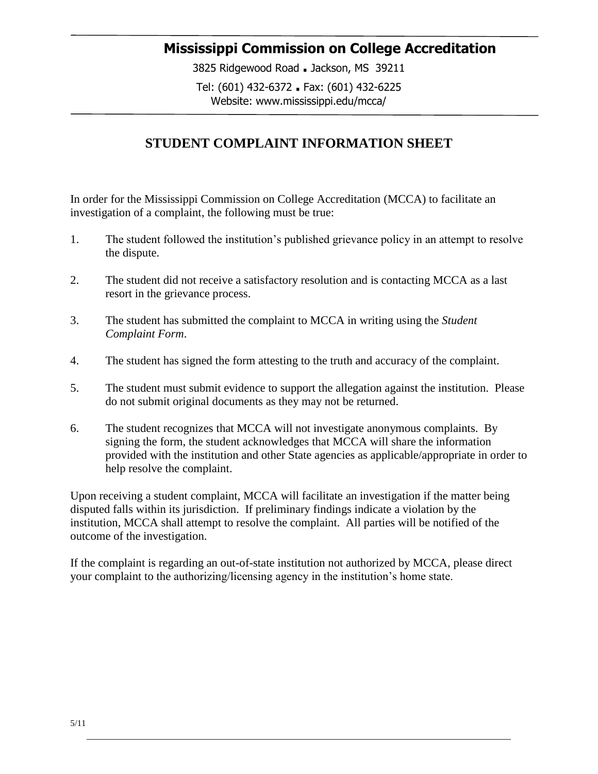## **Mississippi Commission on College Accreditation**

3825 Ridgewood Road **.** Jackson, MS 39211 Tel: (601) 432-6372 **.** Fax: (601) 432-6225 Website: www.mississippi.edu/mcca/

## **STUDENT COMPLAINT INFORMATION SHEET**

In order for the Mississippi Commission on College Accreditation (MCCA) to facilitate an investigation of a complaint, the following must be true:

- 1. The student followed the institution's published grievance policy in an attempt to resolve the dispute.
- 2. The student did not receive a satisfactory resolution and is contacting MCCA as a last resort in the grievance process.
- 3. The student has submitted the complaint to MCCA in writing using the *Student Complaint Form*.
- 4. The student has signed the form attesting to the truth and accuracy of the complaint.
- 5. The student must submit evidence to support the allegation against the institution. Please do not submit original documents as they may not be returned.
- 6. The student recognizes that MCCA will not investigate anonymous complaints. By signing the form, the student acknowledges that MCCA will share the information provided with the institution and other State agencies as applicable/appropriate in order to help resolve the complaint.

Upon receiving a student complaint, MCCA will facilitate an investigation if the matter being disputed falls within its jurisdiction. If preliminary findings indicate a violation by the institution, MCCA shall attempt to resolve the complaint. All parties will be notified of the outcome of the investigation.

If the complaint is regarding an out-of-state institution not authorized by MCCA, please direct your complaint to the authorizing/licensing agency in the institution's home state.